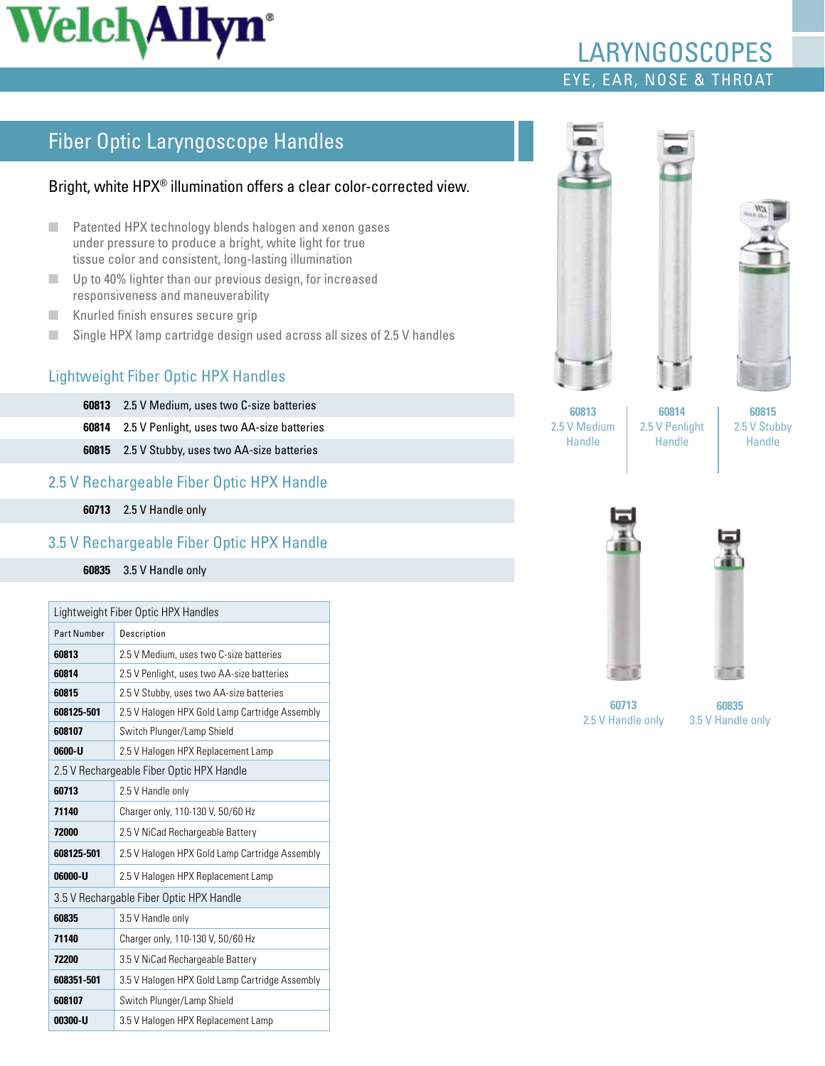# **Welch Allyn**<sup>\*</sup>

## Eye, Ear, Nose & Throat laryngoscopes

## Fiber Optic Laryngoscope Handles

#### Bright, white HPX® illumination offers a clear color-corrected view.

- Patented HPX technology blends halogen and xenon gases under pressure to produce a bright, white light for true tissue color and consistent, long-lasting illumination
- Up to 40% lighter than our previous design, for increased responsiveness and maneuverability
- Knurled finish ensures secure grip
- Single HPX lamp cartridge design used across all sizes of 2.5 V handles

#### Lightweight Fiber Optic HPX Handles

**60813** 2.5 V Medium, uses two C-size batteries

**60814** 2.5 V Penlight, uses two AA-size batteries

**60815** 2.5 V Stubby, uses two AA-size batteries

#### 2.5 V Rechargeable Fiber Optic HPX Handle

**60713** 2.5 V Handle only

#### 3.5 V Rechargeable Fiber Optic HPX Handle

#### **60835** 3.5 V Handle only

| Lightweight Fiber Optic HPX Handles       |                                                |
|-------------------------------------------|------------------------------------------------|
| <b>Part Number</b>                        | Description                                    |
| 60813                                     | 2.5 V Medium, uses two C-size batteries        |
| 60814                                     | 2.5 V Penlight, uses two AA-size batteries     |
| 60815                                     | 2.5 V Stubby, uses two AA-size batteries       |
| 608125-501                                | 2.5 V Halogen HPX Gold Lamp Cartridge Assembly |
| 608107                                    | Switch Plunger/Lamp Shield                     |
| 0600-U                                    | 2.5 V Halogen HPX Replacement Lamp             |
| 2.5 V Rechargeable Fiber Optic HPX Handle |                                                |
| 60713                                     | 2.5 V Handle only                              |
| 71140                                     | Charger only, 110-130 V, 50/60 Hz              |
| 72000                                     | 2.5 V NiCad Rechargeable Battery               |
| 608125-501                                | 2.5 V Halogen HPX Gold Lamp Cartridge Assembly |
| 06000-U                                   | 2.5 V Halogen HPX Replacement Lamp             |
| 3.5 V Rechargable Fiber Optic HPX Handle  |                                                |
| 60835                                     | 3.5 V Handle only                              |
| 71140                                     | Charger only, 110-130 V, 50/60 Hz              |
| 72200                                     | 3.5 V NiCad Rechargeable Battery               |
| 608351-501                                | 3.5 V Halogen HPX Gold Lamp Cartridge Assembly |
| 608107                                    | Switch Plunger/Lamp Shield                     |
| 00300-U                                   | 3.5 V Halogen HPX Replacement Lamp             |





**60813**  2.5 V Medium Handle

**60814**  2.5 V Penlight Handle

**60815** 2.5 V Stubby Handle





**60713**  2.5 V Handle only

**60835**  3.5 V Handle only